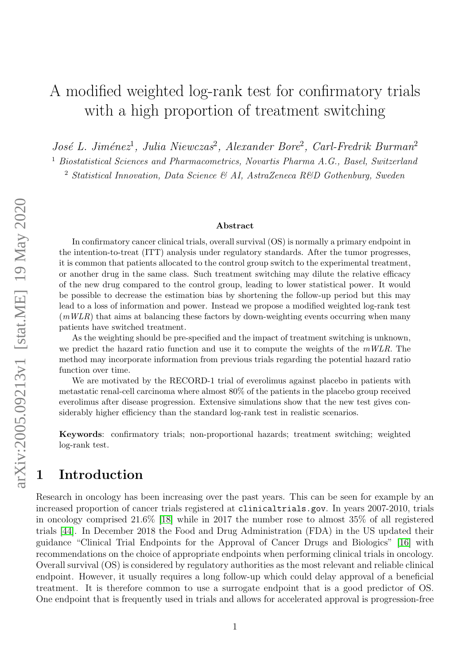# A modified weighted log-rank test for confirmatory trials with a high proportion of treatment switching

José L. Jiménez<sup>1</sup>, Julia Niewczas<sup>2</sup>, Alexander Bore<sup>2</sup>, Carl-Fredrik Burman<sup>2</sup>

<sup>1</sup> Biostatistical Sciences and Pharmacometrics, Novartis Pharma A.G., Basel, Switzerland

<sup>2</sup> Statistical Innovation, Data Science & AI, AstraZeneca R&D Gothenburg, Sweden

#### Abstract

In confirmatory cancer clinical trials, overall survival (OS) is normally a primary endpoint in the intention-to-treat (ITT) analysis under regulatory standards. After the tumor progresses, it is common that patients allocated to the control group switch to the experimental treatment, or another drug in the same class. Such treatment switching may dilute the relative efficacy of the new drug compared to the control group, leading to lower statistical power. It would be possible to decrease the estimation bias by shortening the follow-up period but this may lead to a loss of information and power. Instead we propose a modified weighted log-rank test  $(mWLR)$  that aims at balancing these factors by down-weighting events occurring when many patients have switched treatment.

As the weighting should be pre-specified and the impact of treatment switching is unknown, we predict the hazard ratio function and use it to compute the weights of the  $mWLR$ . The method may incorporate information from previous trials regarding the potential hazard ratio function over time.

We are motivated by the RECORD-1 trial of everolimus against placebo in patients with metastatic renal-cell carcinoma where almost 80% of the patients in the placebo group received everolimus after disease progression. Extensive simulations show that the new test gives considerably higher efficiency than the standard log-rank test in realistic scenarios.

Keywords: confirmatory trials; non-proportional hazards; treatment switching; weighted log-rank test.

## 1 Introduction

Research in oncology has been increasing over the past years. This can be seen for example by an increased proportion of cancer trials registered at clinicaltrials.gov. In years 2007-2010, trials in oncology comprised 21.6% [\[18\]](#page-18-0) while in 2017 the number rose to almost 35% of all registered trials [\[44\]](#page-20-0). In December 2018 the Food and Drug Administration (FDA) in the US updated their guidance "Clinical Trial Endpoints for the Approval of Cancer Drugs and Biologics" [\[16\]](#page-18-1) with recommendations on the choice of appropriate endpoints when performing clinical trials in oncology. Overall survival (OS) is considered by regulatory authorities as the most relevant and reliable clinical endpoint. However, it usually requires a long follow-up which could delay approval of a beneficial treatment. It is therefore common to use a surrogate endpoint that is a good predictor of OS. One endpoint that is frequently used in trials and allows for accelerated approval is progression-free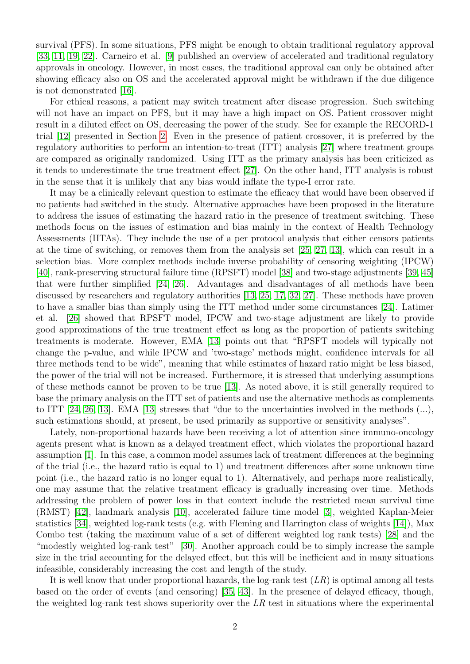survival (PFS). In some situations, PFS might be enough to obtain traditional regulatory approval [\[33,](#page-19-0) [11,](#page-18-2) [19,](#page-18-3) [22\]](#page-19-1). Carneiro et al. [\[9\]](#page-17-0) published an overview of accelerated and traditional regulatory approvals in oncology. However, in most cases, the traditional approval can only be obtained after showing efficacy also on OS and the accelerated approval might be withdrawn if the due diligence is not demonstrated [\[16\]](#page-18-1).

For ethical reasons, a patient may switch treatment after disease progression. Such switching will not have an impact on PFS, but it may have a high impact on OS. Patient crossover might result in a diluted effect on OS, decreasing the power of the study. See for example the RECORD-1 trial [\[12\]](#page-18-4) presented in Section [2.](#page-2-0) Even in the presence of patient crossover, it is preferred by the regulatory authorities to perform an intention-to-treat (ITT) analysis [\[27\]](#page-19-2) where treatment groups are compared as originally randomized. Using ITT as the primary analysis has been criticized as it tends to underestimate the true treatment effect [\[27\]](#page-19-2). On the other hand, ITT analysis is robust in the sense that it is unlikely that any bias would inflate the type-I error rate.

It may be a clinically relevant question to estimate the efficacy that would have been observed if no patients had switched in the study. Alternative approaches have been proposed in the literature to address the issues of estimating the hazard ratio in the presence of treatment switching. These methods focus on the issues of estimation and bias mainly in the context of Health Technology Assessments (HTAs). They include the use of a per protocol analysis that either censors patients at the time of switching, or removes them from the analysis set [\[25,](#page-19-3) [27,](#page-19-2) [13\]](#page-18-5), which can result in a selection bias. More complex methods include inverse probability of censoring weighting (IPCW) [\[40\]](#page-20-1), rank-preserving structural failure time (RPSFT) model [\[38\]](#page-20-2) and two-stage adjustments [\[39,](#page-20-3) [45\]](#page-20-4) that were further simplified [\[24,](#page-19-4) [26\]](#page-19-5). Advantages and disadvantages of all methods have been discussed by researchers and regulatory authorities [\[13,](#page-18-5) [25,](#page-19-3) [17,](#page-18-6) [32,](#page-19-6) [27\]](#page-19-2). These methods have proven to have a smaller bias than simply using the ITT method under some circumstances [\[24\]](#page-19-4). Latimer et al. [\[26\]](#page-19-5) showed that RPSFT model, IPCW and two-stage adjustment are likely to provide good approximations of the true treatment effect as long as the proportion of patients switching treatments is moderate. However, EMA [\[13\]](#page-18-5) points out that "RPSFT models will typically not change the p-value, and while IPCW and 'two-stage' methods might, confidence intervals for all three methods tend to be wide", meaning that while estimates of hazard ratio might be less biased, the power of the trial will not be increased. Furthermore, it is stressed that underlying assumptions of these methods cannot be proven to be true [\[13\]](#page-18-5). As noted above, it is still generally required to base the primary analysis on the ITT set of patients and use the alternative methods as complements to ITT [\[24,](#page-19-4) [26,](#page-19-5) [13\]](#page-18-5). EMA [\[13\]](#page-18-5) stresses that "due to the uncertainties involved in the methods  $(...),$ such estimations should, at present, be used primarily as supportive or sensitivity analyses".

Lately, non-proportional hazards have been receiving a lot of attention since immuno-oncology agents present what is known as a delayed treatment effect, which violates the proportional hazard assumption [\[1\]](#page-17-1). In this case, a common model assumes lack of treatment differences at the beginning of the trial (i.e., the hazard ratio is equal to 1) and treatment differences after some unknown time point (i.e., the hazard ratio is no longer equal to 1). Alternatively, and perhaps more realistically, one may assume that the relative treatment efficacy is gradually increasing over time. Methods addressing the problem of power loss in that context include the restricted mean survival time (RMST) [\[42\]](#page-20-5), landmark analysis [\[10\]](#page-18-7), accelerated failure time model [\[3\]](#page-17-2), weighted Kaplan-Meier statistics [\[34\]](#page-19-7), weighted log-rank tests (e.g. with Fleming and Harrington class of weights [\[14\]](#page-18-8)), Max Combo test (taking the maximum value of a set of different weighted log rank tests) [\[28\]](#page-19-8) and the "modestly weighted log-rank test" [\[30\]](#page-19-9). Another approach could be to simply increase the sample size in the trial accounting for the delayed effect, but this will be inefficient and in many situations infeasible, considerably increasing the cost and length of the study.

It is well know that under proportional hazards, the log-rank test  $(LR)$  is optimal among all tests based on the order of events (and censoring) [\[35,](#page-19-10) [43\]](#page-20-6). In the presence of delayed efficacy, though, the weighted log-rank test shows superiority over the  $LR$  test in situations where the experimental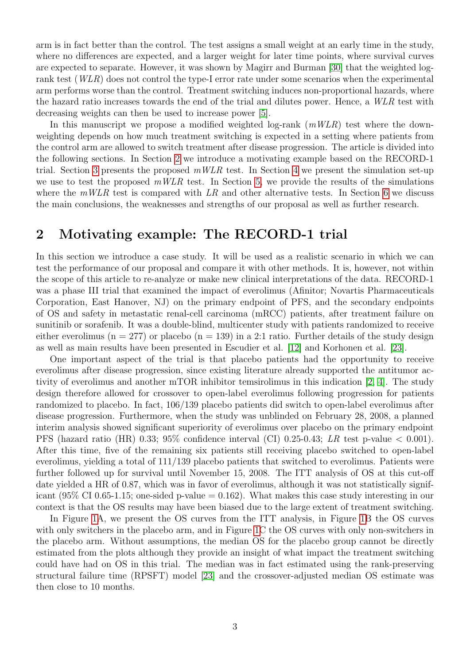arm is in fact better than the control. The test assigns a small weight at an early time in the study, where no differences are expected, and a larger weight for later time points, where survival curves are expected to separate. However, it was shown by Magirr and Burman [\[30\]](#page-19-9) that the weighted logrank test (WLR) does not control the type-I error rate under some scenarios when the experimental arm performs worse than the control. Treatment switching induces non-proportional hazards, where the hazard ratio increases towards the end of the trial and dilutes power. Hence, a WLR test with decreasing weights can then be used to increase power [\[5\]](#page-17-3).

In this manuscript we propose a modified weighted log-rank  $(mWLR)$  test where the downweighting depends on how much treatment switching is expected in a setting where patients from the control arm are allowed to switch treatment after disease progression. The article is divided into the following sections. In Section [2](#page-2-0) we introduce a motivating example based on the RECORD-1 trial. Section [3](#page-3-0) presents the proposed  $mWLR$  test. In Section [4](#page-8-0) we present the simulation set-up we use to test the proposed  $mWLR$  test. In Section [5,](#page-10-0) we provide the results of the simulations where the  $mWLR$  test is compared with  $LR$  and other alternative tests. In Section [6](#page-14-0) we discuss the main conclusions, the weaknesses and strengths of our proposal as well as further research.

#### <span id="page-2-0"></span>2 Motivating example: The RECORD-1 trial

In this section we introduce a case study. It will be used as a realistic scenario in which we can test the performance of our proposal and compare it with other methods. It is, however, not within the scope of this article to re-analyze or make new clinical interpretations of the data. RECORD-1 was a phase III trial that examined the impact of everolimus (Afinitor; Novartis Pharmaceuticals Corporation, East Hanover, NJ) on the primary endpoint of PFS, and the secondary endpoints of OS and safety in metastatic renal-cell carcinoma (mRCC) patients, after treatment failure on sunitinib or sorafenib. It was a double-blind, multicenter study with patients randomized to receive either everolimus ( $n = 277$ ) or placebo ( $n = 139$ ) in a 2:1 ratio. Further details of the study design as well as main results have been presented in Escudier et al. [\[12\]](#page-18-4) and Korhonen et al. [\[23\]](#page-19-11).

One important aspect of the trial is that placebo patients had the opportunity to receive everolimus after disease progression, since existing literature already supported the antitumor activity of everolimus and another mTOR inhibitor temsirolimus in this indication [\[2,](#page-17-4) [4\]](#page-17-5). The study design therefore allowed for crossover to open-label everolimus following progression for patients randomized to placebo. In fact, 106/139 placebo patients did switch to open-label everolimus after disease progression. Furthermore, when the study was unblinded on February 28, 2008, a planned interim analysis showed significant superiority of everolimus over placebo on the primary endpoint PFS (hazard ratio (HR) 0.33; 95% confidence interval (CI) 0.25-0.43; LR test p-value  $< 0.001$ ). After this time, five of the remaining six patients still receiving placebo switched to open-label everolimus, yielding a total of 111/139 placebo patients that switched to everolimus. Patients were further followed up for survival until November 15, 2008. The ITT analysis of OS at this cut-off date yielded a HR of 0.87, which was in favor of everolimus, although it was not statistically significant (95\% CI 0.65-1.15; one-sided p-value  $= 0.162$ ). What makes this case study interesting in our context is that the OS results may have been biased due to the large extent of treatment switching.

In Figure [1A](#page-3-1), we present the OS curves from the ITT analysis, in Figure [1B](#page-3-1) the OS curves with only switchers in the placebo arm, and in Figure [1C](#page-3-1) the OS curves with only non-switchers in the placebo arm. Without assumptions, the median OS for the placebo group cannot be directly estimated from the plots although they provide an insight of what impact the treatment switching could have had on OS in this trial. The median was in fact estimated using the rank-preserving structural failure time (RPSFT) model [\[23\]](#page-19-11) and the crossover-adjusted median OS estimate was then close to 10 months.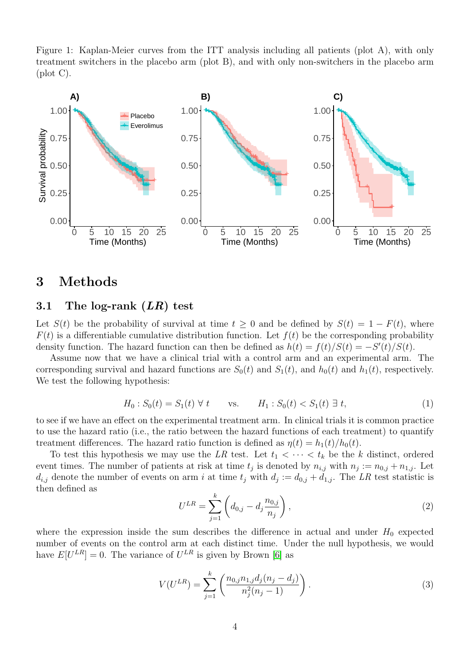<span id="page-3-1"></span>Figure 1: Kaplan-Meier curves from the ITT analysis including all patients (plot A), with only treatment switchers in the placebo arm (plot B), and with only non-switchers in the placebo arm (plot C).



### <span id="page-3-0"></span>3 Methods

#### 3.1 The log-rank  $(LR)$  test

Let  $S(t)$  be the probability of survival at time  $t \geq 0$  and be defined by  $S(t) = 1 - F(t)$ , where  $F(t)$  is a differentiable cumulative distribution function. Let  $f(t)$  be the corresponding probability density function. The hazard function can then be defined as  $h(t) = f(t)/S(t) = -S'(t)/S(t)$ .

Assume now that we have a clinical trial with a control arm and an experimental arm. The corresponding survival and hazard functions are  $S_0(t)$  and  $S_1(t)$ , and  $h_0(t)$  and  $h_1(t)$ , respectively. We test the following hypothesis:

$$
H_0: S_0(t) = S_1(t) \,\forall \, t \qquad \text{vs.} \qquad H_1: S_0(t) < S_1(t) \,\exists \, t,\tag{1}
$$

to see if we have an effect on the experimental treatment arm. In clinical trials it is common practice to use the hazard ratio (i.e., the ratio between the hazard functions of each treatment) to quantify treatment differences. The hazard ratio function is defined as  $\eta(t) = h_1(t)/h_0(t)$ .

To test this hypothesis we may use the LR test. Let  $t_1 < \cdots < t_k$  be the k distinct, ordered event times. The number of patients at risk at time  $t_j$  is denoted by  $n_{i,j}$  with  $n_j := n_{0,j} + n_{1,j}$ . Let  $d_{i,j}$  denote the number of events on arm i at time  $t_j$  with  $d_j := d_{0,j} + d_{1,j}$ . The LR test statistic is then defined as

$$
U^{LR} = \sum_{j=1}^{k} \left( d_{0,j} - d_j \frac{n_{0,j}}{n_j} \right),
$$
 (2)

where the expression inside the sum describes the difference in actual and under  $H_0$  expected number of events on the control arm at each distinct time. Under the null hypothesis, we would have  $E[U^{LR}] = 0$ . The variance of  $U^{LR}$  is given by Brown [\[6\]](#page-17-6) as

$$
V(U^{LR}) = \sum_{j=1}^{k} \left( \frac{n_{0,j} n_{1,j} d_j (n_j - d_j)}{n_j^2 (n_j - 1)} \right).
$$
 (3)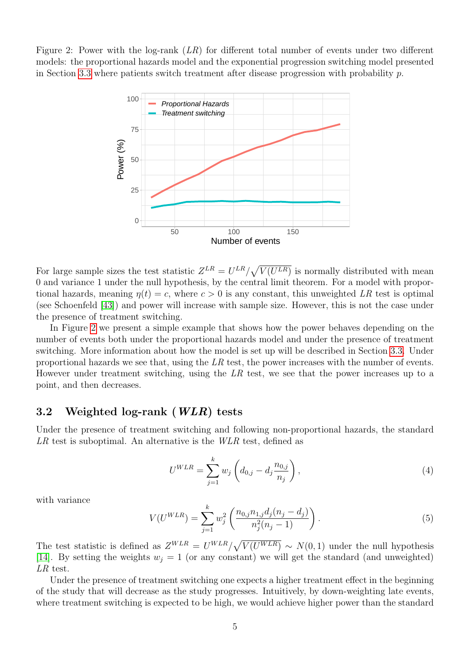<span id="page-4-0"></span>Figure 2: Power with the log-rank  $(LR)$  for different total number of events under two different models: the proportional hazards model and the exponential progression switching model presented in Section [3.3](#page-5-0) where patients switch treatment after disease progression with probability p.



For large sample sizes the test statistic  $Z^{LR} = U^{LR}/\sqrt{V(U^{LR})}$  is normally distributed with mean 0 and variance 1 under the null hypothesis, by the central limit theorem. For a model with proportional hazards, meaning  $\eta(t) = c$ , where  $c > 0$  is any constant, this unweighted LR test is optimal (see Schoenfeld [\[43\]](#page-20-6)) and power will increase with sample size. However, this is not the case under the presence of treatment switching.

In Figure [2](#page-4-0) we present a simple example that shows how the power behaves depending on the number of events both under the proportional hazards model and under the presence of treatment switching. More information about how the model is set up will be described in Section [3.3.](#page-5-0) Under proportional hazards we see that, using the  $LR$  test, the power increases with the number of events. However under treatment switching, using the  $LR$  test, we see that the power increases up to a point, and then decreases.

#### 3.2 Weighted log-rank (WLR) tests

Under the presence of treatment switching and following non-proportional hazards, the standard LR test is suboptimal. An alternative is the WLR test, defined as

$$
U^{WLR} = \sum_{j=1}^{k} w_j \left( d_{0,j} - d_j \frac{n_{0,j}}{n_j} \right),
$$
\n(4)

with variance

$$
V(U^{WLR}) = \sum_{j=1}^{k} w_j^2 \left( \frac{n_{0,j} n_{1,j} d_j (n_j - d_j)}{n_j^2 (n_j - 1)} \right).
$$
 (5)

The test statistic is defined as  $Z^{WLR} = U^{WLR}/\sqrt{V(U^{WLR})} \sim N(0, 1)$  under the null hypothesis [\[14\]](#page-18-8). By setting the weights  $w_j = 1$  (or any constant) we will get the standard (and unweighted) LR test.

Under the presence of treatment switching one expects a higher treatment effect in the beginning of the study that will decrease as the study progresses. Intuitively, by down-weighting late events, where treatment switching is expected to be high, we would achieve higher power than the standard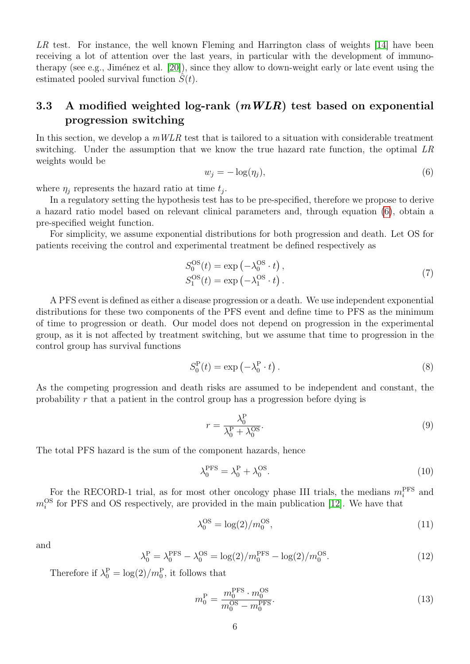LR test. For instance, the well known Fleming and Harrington class of weights [\[14\]](#page-18-8) have been receiving a lot of attention over the last years, in particular with the development of immunotherapy (see e.g., Jiménez et al.  $[20]$ ), since they allow to down-weight early or late event using the estimated pooled survival function  $S(t)$ .

#### <span id="page-5-0"></span>3.3 A modified weighted log-rank  $(mWLR)$  test based on exponential progression switching

In this section, we develop a  $mWLR$  test that is tailored to a situation with considerable treatment switching. Under the assumption that we know the true hazard rate function, the optimal LR weights would be

<span id="page-5-1"></span>
$$
w_j = -\log(\eta_j),\tag{6}
$$

where  $\eta_j$  represents the hazard ratio at time  $t_j$ .

In a regulatory setting the hypothesis test has to be pre-specified, therefore we propose to derive a hazard ratio model based on relevant clinical parameters and, through equation [\(6\)](#page-5-1), obtain a pre-specified weight function.

For simplicity, we assume exponential distributions for both progression and death. Let OS for patients receiving the control and experimental treatment be defined respectively as

$$
S_0^{\text{OS}}(t) = \exp\left(-\lambda_0^{\text{OS}} \cdot t\right),
$$
  
\n
$$
S_1^{\text{OS}}(t) = \exp\left(-\lambda_1^{\text{OS}} \cdot t\right).
$$
\n(7)

A PFS event is defined as either a disease progression or a death. We use independent exponential distributions for these two components of the PFS event and define time to PFS as the minimum of time to progression or death. Our model does not depend on progression in the experimental group, as it is not affected by treatment switching, but we assume that time to progression in the control group has survival functions

$$
S_0^{\mathcal{P}}(t) = \exp\left(-\lambda_0^{\mathcal{P}} \cdot t\right). \tag{8}
$$

As the competing progression and death risks are assumed to be independent and constant, the probability r that a patient in the control group has a progression before dying is

$$
r = \frac{\lambda_0^{\text{P}}}{\lambda_0^{\text{P}} + \lambda_0^{\text{OS}}}.\tag{9}
$$

The total PFS hazard is the sum of the component hazards, hence

$$
\lambda_0^{\rm PFS} = \lambda_0^{\rm P} + \lambda_0^{\rm OS}.\tag{10}
$$

For the RECORD-1 trial, as for most other oncology phase III trials, the medians  $m_i^{\text{PFS}}$  and  $m_i^{\rm OS}$  for PFS and OS respectively, are provided in the main publication [\[12\]](#page-18-4). We have that

$$
\lambda_0^{\text{OS}} = \log(2)/m_0^{\text{OS}},\tag{11}
$$

and

$$
\lambda_0^{\rm P} = \lambda_0^{\rm PFS} - \lambda_0^{\rm OS} = \log(2)/m_0^{\rm PFS} - \log(2)/m_0^{\rm OS}.\tag{12}
$$

Therefore if  $\lambda_0^{\text{P}} = \log(2)/m_0^{\text{P}}$ , it follows that

$$
m_0^{\rm P} = \frac{m_0^{\rm PS} \cdot m_0^{\rm OS}}{m_0^{\rm OS} - m_0^{\rm PS}}.\tag{13}
$$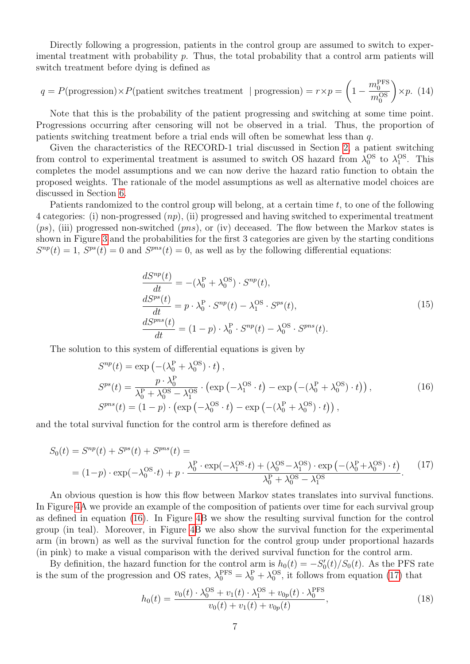Directly following a progression, patients in the control group are assumed to switch to experimental treatment with probability  $p$ . Thus, the total probability that a control arm patients will switch treatment before dying is defined as

<span id="page-6-2"></span>
$$
q = P(\text{progression}) \times P(\text{patient switches treatment } | \text{ progression}) = r \times p = \left(1 - \frac{m_0^{\text{PFS}}}{m_0^{\text{OS}}}\right) \times p. (14)
$$

Note that this is the probability of the patient progressing and switching at some time point. Progressions occurring after censoring will not be observed in a trial. Thus, the proportion of patients switching treatment before a trial ends will often be somewhat less than q.

Given the characteristics of the RECORD-1 trial discussed in Section [2,](#page-2-0) a patient switching from control to experimental treatment is assumed to switch OS hazard from  $\lambda_0^{OS}$  to  $\lambda_1^{OS}$ . This completes the model assumptions and we can now derive the hazard ratio function to obtain the proposed weights. The rationale of the model assumptions as well as alternative model choices are discussed in Section [6.](#page-14-0)

Patients randomized to the control group will belong, at a certain time  $t$ , to one of the following 4 categories: (i) non-progressed  $(np)$ , (ii) progressed and having switched to experimental treatment  $(ps)$ , (iii) progressed non-switched  $(pns)$ , or (iv) deceased. The flow between the Markov states is shown in Figure [3](#page-7-0) and the probabilities for the first 3 categories are given by the starting conditions  $S^{np}(t) = 1$ ,  $S^{ps}(t) = 0$  and  $S^{pns}(t) = 0$ , as well as by the following differential equations:

$$
\frac{dS^{np}(t)}{dt} = -(\lambda_0^P + \lambda_0^{OS}) \cdot S^{np}(t),
$$
\n
$$
\frac{dS^{ps}(t)}{dt} = p \cdot \lambda_0^P \cdot S^{np}(t) - \lambda_1^{OS} \cdot S^{ps}(t),
$$
\n
$$
\frac{dS^{pns}(t)}{dt} = (1 - p) \cdot \lambda_0^P \cdot S^{np}(t) - \lambda_0^{OS} \cdot S^{pns}(t).
$$
\n(15)

<span id="page-6-0"></span>The solution to this system of differential equations is given by

$$
S^{np}(t) = \exp\left(-(\lambda_0^P + \lambda_0^{OS}) \cdot t\right),
$$
  
\n
$$
S^{ps}(t) = \frac{p \cdot \lambda_0^P}{\lambda_0^P + \lambda_0^{OS} - \lambda_1^{OS}} \cdot \left(\exp\left(-\lambda_1^{OS} \cdot t\right) - \exp\left(-(\lambda_0^P + \lambda_0^{OS}) \cdot t\right)\right),
$$
  
\n
$$
S^{pns}(t) = (1 - p) \cdot \left(\exp\left(-\lambda_0^{OS} \cdot t\right) - \exp\left(-(\lambda_0^P + \lambda_0^{OS}) \cdot t\right)\right),
$$
\n(16)

and the total survival function for the control arm is therefore defined as

<span id="page-6-1"></span>
$$
S_0(t) = S^{np}(t) + S^{ps}(t) + S^{pns}(t) =
$$
  
=  $(1-p) \cdot \exp(-\lambda_0^{OS} \cdot t) + p \cdot \frac{\lambda_0^P \cdot \exp(-\lambda_1^{OS} \cdot t) + (\lambda_0^{OS} - \lambda_1^{OS}) \cdot \exp(-(\lambda_0^P + \lambda_0^{OS}) \cdot t)}{\lambda_0^P + \lambda_0^{OS} - \lambda_1^{OS}}.$  (17)

An obvious question is how this flow between Markov states translates into survival functions. In Figure [4A](#page-8-1) we provide an example of the composition of patients over time for each survival group as defined in equation [\(16\)](#page-6-0). In Figure [4B](#page-8-1) we show the resulting survival function for the control group (in teal). Moreover, in Figure [4B](#page-8-1) we also show the survival function for the experimental arm (in brown) as well as the survival function for the control group under proportional hazards (in pink) to make a visual comparison with the derived survival function for the control arm.

By definition, the hazard function for the control arm is  $h_0(t) = -S'_0(t)/S_0(t)$ . As the PFS rate is the sum of the progression and OS rates,  $\lambda_0^{\text{PFS}} = \lambda_0^{\text{P}} + \lambda_0^{\text{OS}}$ , it follows from equation [\(17\)](#page-6-1) that

$$
h_0(t) = \frac{v_0(t) \cdot \lambda_0^{\text{OS}} + v_1(t) \cdot \lambda_1^{\text{OS}} + v_{0p}(t) \cdot \lambda_0^{\text{PFS}}}{v_0(t) + v_1(t) + v_{0p}(t)},
$$
\n(18)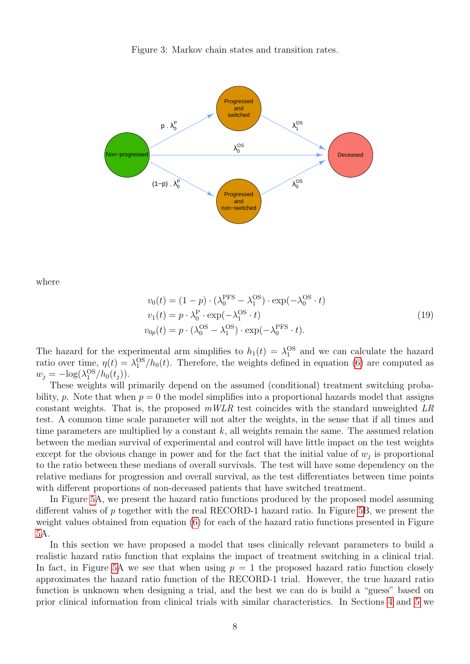<span id="page-7-0"></span>Figure 3: Markov chain states and transition rates.



where

$$
v_0(t) = (1 - p) \cdot (\lambda_0^{\text{PFS}} - \lambda_1^{\text{OS}}) \cdot \exp(-\lambda_0^{\text{OS}} \cdot t)
$$
  
\n
$$
v_1(t) = p \cdot \lambda_0^{\text{P}} \cdot \exp(-\lambda_1^{\text{OS}} \cdot t)
$$
  
\n
$$
v_{0p}(t) = p \cdot (\lambda_0^{\text{OS}} - \lambda_1^{\text{OS}}) \cdot \exp(-\lambda_0^{\text{PFS}} \cdot t).
$$
\n(19)

The hazard for the experimental arm simplifies to  $h_1(t) = \lambda_1^{\text{OS}}$  and we can calculate the hazard ratio over time,  $\eta(t) = \lambda_1^{\text{OS}}/h_0(t)$ . Therefore, the weights defined in equation [\(6\)](#page-5-1) are computed as  $w_j = -\log(\lambda_1^{\text{OS}}/h_0(t_j)).$ 

These weights will primarily depend on the assumed (conditional) treatment switching probability, p. Note that when  $p = 0$  the model simplifies into a proportional hazards model that assigns constant weights. That is, the proposed  $mWLR$  test coincides with the standard unweighted LR test. A common time scale parameter will not alter the weights, in the sense that if all times and time parameters are multiplied by a constant  $k$ , all weights remain the same. The assumed relation between the median survival of experimental and control will have little impact on the test weights except for the obvious change in power and for the fact that the initial value of  $w_j$  is proportional to the ratio between these medians of overall survivals. The test will have some dependency on the relative medians for progression and overall survival, as the test differentiates between time points with different proportions of non-deceased patients that have switched treatment.

In Figure [5A](#page-9-0), we present the hazard ratio functions produced by the proposed model assuming different values of p together with the real RECORD-1 hazard ratio. In Figure [5B](#page-9-0), we present the weight values obtained from equation [\(6\)](#page-5-1) for each of the hazard ratio functions presented in Figure [5A](#page-9-0).

In this section we have proposed a model that uses clinically relevant parameters to build a realistic hazard ratio function that explains the impact of treatment switching in a clinical trial. In fact, in Figure [5A](#page-9-0) we see that when using  $p = 1$  the proposed hazard ratio function closely approximates the hazard ratio function of the RECORD-1 trial. However, the true hazard ratio function is unknown when designing a trial, and the best we can do is build a "guess" based on prior clinical information from clinical trials with similar characteristics. In Sections [4](#page-8-0) and [5](#page-10-0) we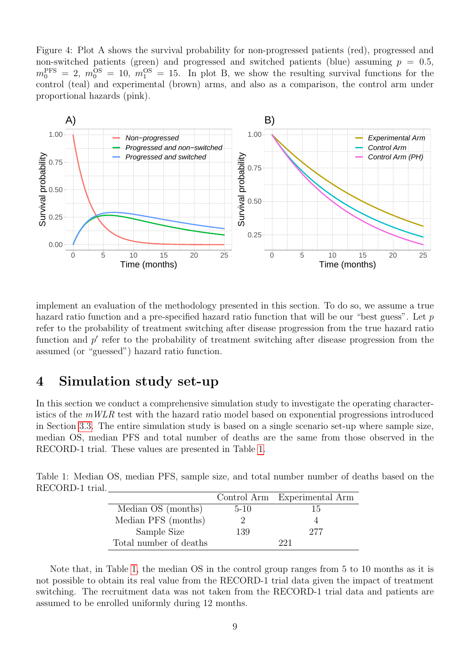<span id="page-8-1"></span>Figure 4: Plot A shows the survival probability for non-progressed patients (red), progressed and non-switched patients (green) and progressed and switched patients (blue) assuming  $p = 0.5$ ,  $m_0^{\text{PFS}} = 2, m_0^{\text{OS}} = 10, m_1^{\text{OS}} = 15.$  In plot B, we show the resulting survival functions for the control (teal) and experimental (brown) arms, and also as a comparison, the control arm under proportional hazards (pink).



implement an evaluation of the methodology presented in this section. To do so, we assume a true hazard ratio function and a pre-specified hazard ratio function that will be our "best guess". Let  $p$ refer to the probability of treatment switching after disease progression from the true hazard ratio function and  $p'$  refer to the probability of treatment switching after disease progression from the assumed (or "guessed") hazard ratio function.

### <span id="page-8-0"></span>4 Simulation study set-up

In this section we conduct a comprehensive simulation study to investigate the operating characteristics of the  $mWLR$  test with the hazard ratio model based on exponential progressions introduced in Section [3.3.](#page-5-0) The entire simulation study is based on a single scenario set-up where sample size, median OS, median PFS and total number of deaths are the same from those observed in the RECORD-1 trial. These values are presented in Table [1.](#page-8-2)

<span id="page-8-2"></span>Table 1: Median OS, median PFS, sample size, and total number number of deaths based on the RECORD-1 trial.

|                        |        | Control Arm Experimental Arm |
|------------------------|--------|------------------------------|
| Median OS (months)     | $5-10$ | 15                           |
| Median PFS (months)    |        |                              |
| Sample Size            | 139    | 277                          |
| Total number of deaths |        | 991                          |

Note that, in Table [1,](#page-8-2) the median OS in the control group ranges from 5 to 10 months as it is not possible to obtain its real value from the RECORD-1 trial data given the impact of treatment switching. The recruitment data was not taken from the RECORD-1 trial data and patients are assumed to be enrolled uniformly during 12 months.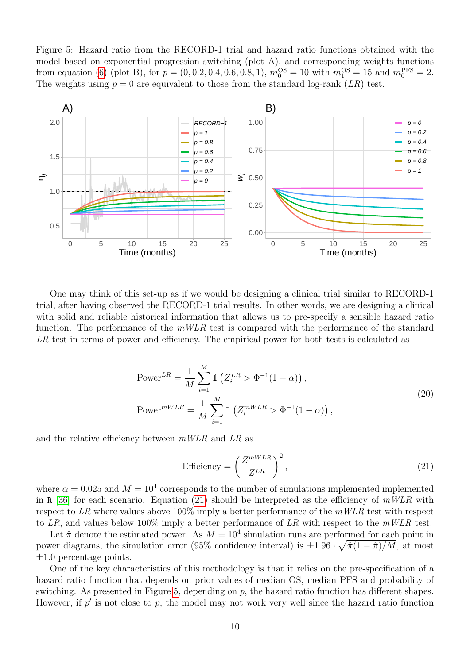<span id="page-9-0"></span>Figure 5: Hazard ratio from the RECORD-1 trial and hazard ratio functions obtained with the model based on exponential progression switching (plot A), and corresponding weights functions from equation [\(6\)](#page-5-1) (plot B), for  $p = (0, 0.2, 0.4, 0.6, 0.8, 1)$ ,  $m_0^{\text{OS}} = 10$  with  $m_1^{\text{OS}} = 15$  and  $m_0^{\text{PFS}} = 2$ . The weights using  $p = 0$  are equivalent to those from the standard log-rank  $(LR)$  test.



One may think of this set-up as if we would be designing a clinical trial similar to RECORD-1 trial, after having observed the RECORD-1 trial results. In other words, we are designing a clinical with solid and reliable historical information that allows us to pre-specify a sensible hazard ratio function. The performance of the  $mWLR$  test is compared with the performance of the standard LR test in terms of power and efficiency. The empirical power for both tests is calculated as

Power<sup>LR</sup> = 
$$
\frac{1}{M} \sum_{i=1}^{M} \mathbb{1} \left( Z_i^{LR} > \Phi^{-1} (1 - \alpha) \right)
$$
,  
\nPower<sup>*mWLR*</sup> =  $\frac{1}{M} \sum_{i=1}^{M} \mathbb{1} \left( Z_i^{mWLR} > \Phi^{-1} (1 - \alpha) \right)$ , (20)

and the relative efficiency between mWLR and LR as

<span id="page-9-1"></span>Efficiency = 
$$
\left(\frac{Z^{mWLR}}{Z^{LR}}\right)^2
$$
, (21)

where  $\alpha = 0.025$  and  $M = 10^4$  corresponds to the number of simulations implemented implemented in R [\[36\]](#page-20-7) for each scenario. Equation [\(21\)](#page-9-1) should be interpreted as the efficiency of  $mWLR$  with respect to LR where values above 100% imply a better performance of the  $mWLR$  test with respect to LR, and values below 100% imply a better performance of LR with respect to the  $mWLR$  test.

Let  $\hat{\pi}$  denote the estimated power. As  $M = 10^4$  simulation runs are performed for each point in power diagrams, the simulation error (95% confidence interval) is  $\pm 1.96 \cdot \sqrt{\hat{\pi}(1-\hat{\pi})/M}$ , at most  $\pm 1.0$  percentage points.

One of the key characteristics of this methodology is that it relies on the pre-specification of a hazard ratio function that depends on prior values of median OS, median PFS and probability of switching. As presented in Figure [5,](#page-9-0) depending on  $p$ , the hazard ratio function has different shapes. However, if  $p'$  is not close to  $p$ , the model may not work very well since the hazard ratio function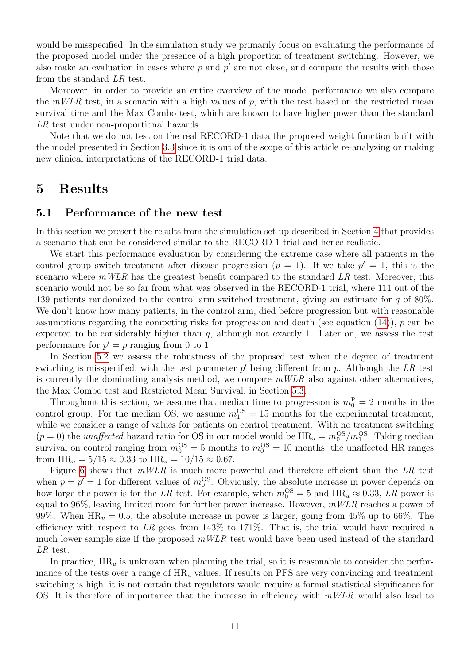would be misspecified. In the simulation study we primarily focus on evaluating the performance of the proposed model under the presence of a high proportion of treatment switching. However, we also make an evaluation in cases where  $p$  and  $p'$  are not close, and compare the results with those from the standard LR test.

Moreover, in order to provide an entire overview of the model performance we also compare the  $mWLR$  test, in a scenario with a high values of p, with the test based on the restricted mean survival time and the Max Combo test, which are known to have higher power than the standard LR test under non-proportional hazards.

Note that we do not test on the real RECORD-1 data the proposed weight function built with the model presented in Section [3.3](#page-5-0) since it is out of the scope of this article re-analyzing or making new clinical interpretations of the RECORD-1 trial data.

### <span id="page-10-0"></span>5 Results

#### <span id="page-10-1"></span>5.1 Performance of the new test

In this section we present the results from the simulation set-up described in Section [4](#page-8-0) that provides a scenario that can be considered similar to the RECORD-1 trial and hence realistic.

We start this performance evaluation by considering the extreme case where all patients in the control group switch treatment after disease progression  $(p = 1)$ . If we take  $p' = 1$ , this is the scenario where  $mWLR$  has the greatest benefit compared to the standard  $LR$  test. Moreover, this scenario would not be so far from what was observed in the RECORD-1 trial, where 111 out of the 139 patients randomized to the control arm switched treatment, giving an estimate for q of 80%. We don't know how many patients, in the control arm, died before progression but with reasonable assumptions regarding the competing risks for progression and death (see equation  $(14)$ ), p can be expected to be considerably higher than  $q$ , although not exactly 1. Later on, we assess the test performance for  $p' = p$  ranging from 0 to 1.

In Section [5.2](#page-12-0) we assess the robustness of the proposed test when the degree of treatment switching is misspecified, with the test parameter  $p'$  being different from  $p$ . Although the LR test is currently the dominating analysis method, we compare  $mWLR$  also against other alternatives, the Max Combo test and Restricted Mean Survival, in Section [5.3.](#page-13-0)

Throughout this section, we assume that median time to progression is  $m_0^P = 2$  months in the control group. For the median OS, we assume  $m_1^{\text{OS}} = 15$  months for the experimental treatment, while we consider a range of values for patients on control treatment. With no treatment switching  $(p = 0)$  the *unaffected* hazard ratio for OS in our model would be  $HR_u = m_0^{OS}/m_1^{OS}$ . Taking median survival on control ranging from  $m_0^{\text{OS}} = 5$  months to  $m_0^{\text{OS}} = 10$  months, the unaffected HR ranges from  $HR_u = 5/15 \approx 0.33$  to  $HR_u = 10/15 \approx 0.67$ .

Figure [6](#page-11-0) shows that  $mWLR$  is much more powerful and therefore efficient than the LR test when  $p = p' = 1$  for different values of  $m_0^{\text{OS}}$ . Obviously, the absolute increase in power depends on how large the power is for the LR test. For example, when  $m_0^{\text{OS}} = 5$  and  $\text{HR}_u \approx 0.33$ , LR power is equal to 96%, leaving limited room for further power increase. However,  $mWLR$  reaches a power of 99%. When  $HR_u = 0.5$ , the absolute increase in power is larger, going from 45% up to 66%. The efficiency with respect to LR goes from 143\% to 171\%. That is, the trial would have required a much lower sample size if the proposed  $mWLR$  test would have been used instead of the standard LR test.

In practice,  $HR_u$  is unknown when planning the trial, so it is reasonable to consider the performance of the tests over a range of  $HR_u$  values. If results on PFS are very convincing and treatment switching is high, it is not certain that regulators would require a formal statistical significance for OS. It is therefore of importance that the increase in efficiency with  $mWLR$  would also lead to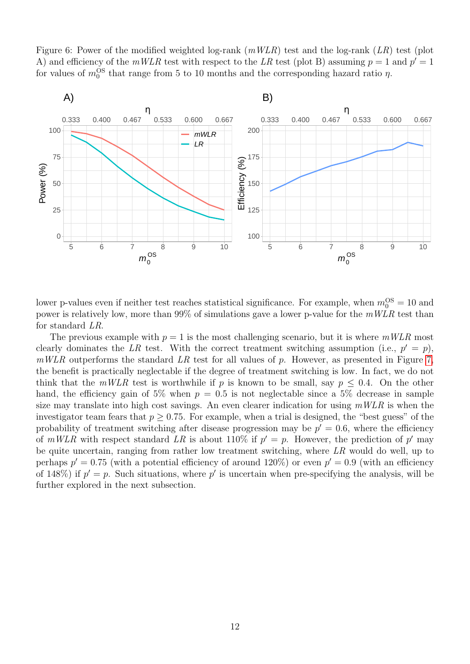<span id="page-11-0"></span>Figure 6: Power of the modified weighted log-rank  $(mWLR)$  test and the log-rank  $(LR)$  test (plot A) and efficiency of the  $mWLR$  test with respect to the LR test (plot B) assuming  $p = 1$  and  $p' = 1$ for values of  $m_0^{\text{OS}}$  that range from 5 to 10 months and the corresponding hazard ratio  $\eta$ .



lower p-values even if neither test reaches statistical significance. For example, when  $m_0^{\text{OS}} = 10$  and power is relatively low, more than  $99\%$  of simulations gave a lower p-value for the  $mWLR$  test than for standard LR.

The previous example with  $p = 1$  is the most challenging scenario, but it is where  $mWLR$  most clearly dominates the LR test. With the correct treatment switching assumption (i.e.,  $p' = p$ ),  $mWLR$  outperforms the standard LR test for all values of p. However, as presented in Figure [7,](#page-12-1) the benefit is practically neglectable if the degree of treatment switching is low. In fact, we do not think that the  $mWLR$  test is worthwhile if p is known to be small, say  $p \leq 0.4$ . On the other hand, the efficiency gain of 5% when  $p = 0.5$  is not neglectable since a 5% decrease in sample size may translate into high cost savings. An even clearer indication for using  $mWLR$  is when the investigator team fears that  $p > 0.75$ . For example, when a trial is designed, the "best guess" of the probability of treatment switching after disease progression may be  $p' = 0.6$ , where the efficiency of  $mWLR$  with respect standard LR is about 110% if  $p' = p$ . However, the prediction of p' may be quite uncertain, ranging from rather low treatment switching, where LR would do well, up to perhaps  $p' = 0.75$  (with a potential efficiency of around 120%) or even  $p' = 0.9$  (with an efficiency of 148%) if  $p' = p$ . Such situations, where p' is uncertain when pre-specifying the analysis, will be further explored in the next subsection.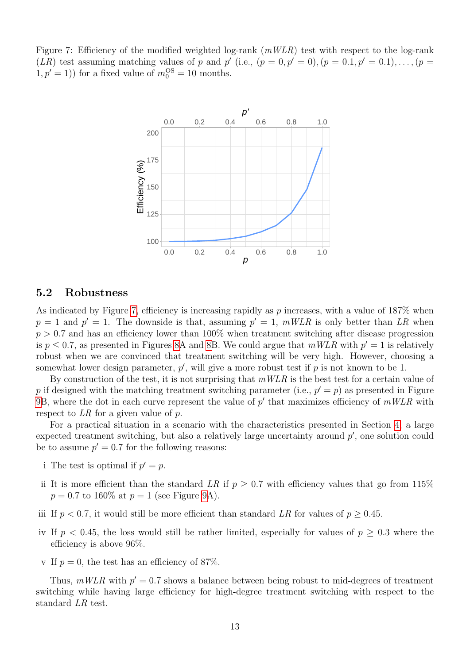<span id="page-12-1"></span>Figure 7: Efficiency of the modified weighted log-rank  $(mWLR)$  test with respect to the log-rank  $(LR)$  test assuming matching values of p and p' (i.e.,  $(p = 0, p' = 0)$ ,  $(p = 0.1, p' = 0.1)$ , ...,  $(p = 0.1, p' = 0.1)$  $(1, p' = 1)$  for a fixed value of  $m_0^{\text{OS}} = 10$  months.



#### <span id="page-12-0"></span>5.2 Robustness

As indicated by Figure [7,](#page-12-1) efficiency is increasing rapidly as  $p$  increases, with a value of 187% when  $p = 1$  and  $p' = 1$ . The downside is that, assuming  $p' = 1$ ,  $mWLR$  is only better than LR when  $p > 0.7$  and has an efficiency lower than 100% when treatment switching after disease progression is  $p \leq 0.7$ , as presented in Figures [8A](#page-13-1) and [8B](#page-13-1). We could argue that  $mWLR$  with  $p' = 1$  is relatively robust when we are convinced that treatment switching will be very high. However, choosing a somewhat lower design parameter,  $p'$ , will give a more robust test if  $p$  is not known to be 1.

By construction of the test, it is not surprising that  $mWLR$  is the best test for a certain value of p if designed with the matching treatment switching parameter (i.e.,  $p' = p$ ) as presented in Figure [9B](#page-14-1), where the dot in each curve represent the value of  $p'$  that maximizes efficiency of  $mWLR$  with respect to LR for a given value of p.

For a practical situation in a scenario with the characteristics presented in Section [4,](#page-8-0) a large expected treatment switching, but also a relatively large uncertainty around  $p'$ , one solution could be to assume  $p' = 0.7$  for the following reasons:

- i The test is optimal if  $p' = p$ .
- ii It is more efficient than the standard LR if  $p \geq 0.7$  with efficiency values that go from 115%  $p = 0.7$  to 160\% at  $p = 1$  (see Figure [9A](#page-14-1)).
- iii If  $p < 0.7$ , it would still be more efficient than standard LR for values of  $p > 0.45$ .
- iv If  $p < 0.45$ , the loss would still be rather limited, especially for values of  $p \geq 0.3$  where the efficiency is above 96%.
- v If  $p = 0$ , the test has an efficiency of 87%.

Thus,  $mWLR$  with  $p' = 0.7$  shows a balance between being robust to mid-degrees of treatment switching while having large efficiency for high-degree treatment switching with respect to the standard LR test.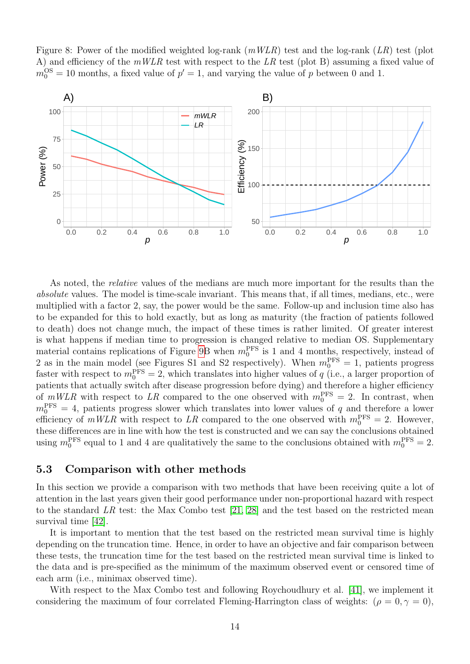

<span id="page-13-1"></span>Figure 8: Power of the modified weighted log-rank  $(mWLR)$  test and the log-rank  $(LR)$  test (plot



As noted, the *relative* values of the medians are much more important for the results than the absolute values. The model is time-scale invariant. This means that, if all times, medians, etc., were multiplied with a factor 2, say, the power would be the same. Follow-up and inclusion time also has to be expanded for this to hold exactly, but as long as maturity (the fraction of patients followed to death) does not change much, the impact of these times is rather limited. Of greater interest is what happens if median time to progression is changed relative to median OS. Supplementary material contains replications of Figure [9B](#page-14-1) when  $m_0^{\text{PFS}}$  is 1 and 4 months, respectively, instead of 2 as in the main model (see Figures S1 and S2 respectively). When  $m_0^{\text{PFS}} = 1$ , patients progress faster with respect to  $m_0^{\text{PFS}} = 2$ , which translates into higher values of q (i.e., a larger proportion of patients that actually switch after disease progression before dying) and therefore a higher efficiency of  $mWLR$  with respect to LR compared to the one observed with  $m_0^{\text{PFS}} = 2$ . In contrast, when  $m_0^{\text{PFS}} = 4$ , patients progress slower which translates into lower values of q and therefore a lower efficiency of  $mWLR$  with respect to LR compared to the one observed with  $m_0^{\text{PFS}} = 2$ . However, these differences are in line with how the test is constructed and we can say the conclusions obtained using  $m_0^{\text{PFS}}$  equal to 1 and 4 are qualitatively the same to the conclusions obtained with  $m_0^{\text{PFS}} = 2$ .

#### <span id="page-13-0"></span>5.3 Comparison with other methods

In this section we provide a comparison with two methods that have been receiving quite a lot of attention in the last years given their good performance under non-proportional hazard with respect to the standard LR test: the Max Combo test  $[21, 28]$  $[21, 28]$  and the test based on the restricted mean survival time [\[42\]](#page-20-5).

It is important to mention that the test based on the restricted mean survival time is highly depending on the truncation time. Hence, in order to have an objective and fair comparison between these tests, the truncation time for the test based on the restricted mean survival time is linked to the data and is pre-specified as the minimum of the maximum observed event or censored time of each arm (i.e., minimax observed time).

With respect to the Max Combo test and following Roychoudhury et al. [\[41\]](#page-20-8), we implement it considering the maximum of four correlated Fleming-Harrington class of weights:  $(\rho = 0, \gamma = 0)$ ,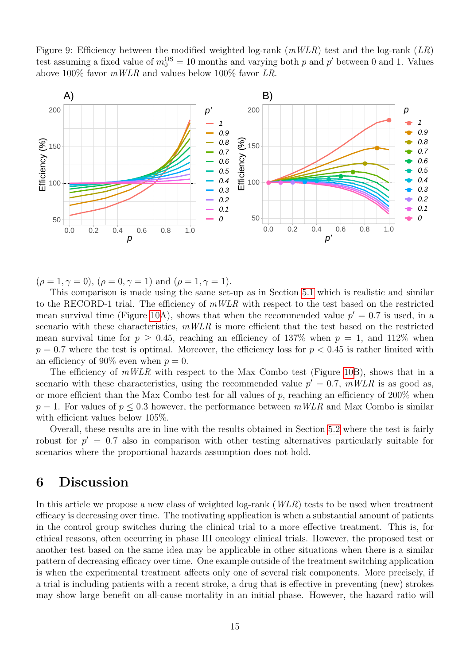<span id="page-14-1"></span>Figure 9: Efficiency between the modified weighted log-rank  $(mWLR)$  test and the log-rank  $(LR)$ test assuming a fixed value of  $m_0^{\text{OS}} = 10$  months and varying both p and p' between 0 and 1. Values above 100% favor  $mWLR$  and values below 100% favor LR.



 $(\rho = 1, \gamma = 0), (\rho = 0, \gamma = 1)$  and  $(\rho = 1, \gamma = 1)$ .

This comparison is made using the same set-up as in Section [5.1](#page-10-1) which is realistic and similar to the RECORD-1 trial. The efficiency of  $mWLR$  with respect to the test based on the restricted mean survival time (Figure [10A](#page-15-0)), shows that when the recommended value  $p' = 0.7$  is used, in a scenario with these characteristics,  $mWLR$  is more efficient that the test based on the restricted mean survival time for  $p > 0.45$ , reaching an efficiency of 137% when  $p = 1$ , and 112% when  $p = 0.7$  where the test is optimal. Moreover, the efficiency loss for  $p < 0.45$  is rather limited with an efficiency of 90% even when  $p = 0$ .

The efficiency of  $mWLR$  with respect to the Max Combo test (Figure [10B](#page-15-0)), shows that in a scenario with these characteristics, using the recommended value  $p' = 0.7$ ,  $mWLR$  is as good as, or more efficient than the Max Combo test for all values of  $p$ , reaching an efficiency of 200% when  $p = 1$ . For values of  $p \leq 0.3$  however, the performance between  $mWLR$  and Max Combo is similar with efficient values below 105%.

Overall, these results are in line with the results obtained in Section [5.2](#page-12-0) where the test is fairly robust for  $p' = 0.7$  also in comparison with other testing alternatives particularly suitable for scenarios where the proportional hazards assumption does not hold.

### <span id="page-14-0"></span>6 Discussion

In this article we propose a new class of weighted  $log-rank (WLR)$  tests to be used when treatment efficacy is decreasing over time. The motivating application is when a substantial amount of patients in the control group switches during the clinical trial to a more effective treatment. This is, for ethical reasons, often occurring in phase III oncology clinical trials. However, the proposed test or another test based on the same idea may be applicable in other situations when there is a similar pattern of decreasing efficacy over time. One example outside of the treatment switching application is when the experimental treatment affects only one of several risk components. More precisely, if a trial is including patients with a recent stroke, a drug that is effective in preventing (new) strokes may show large benefit on all-cause mortality in an initial phase. However, the hazard ratio will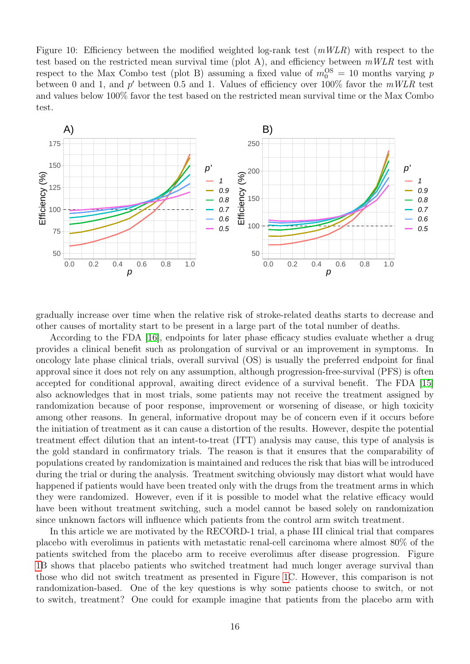<span id="page-15-0"></span>Figure 10: Efficiency between the modified weighted log-rank test  $(mWLR)$  with respect to the test based on the restricted mean survival time (plot A), and efficiency between  $mWLR$  test with respect to the Max Combo test (plot B) assuming a fixed value of  $m_0^{\text{OS}} = 10$  months varying p between 0 and 1, and  $p'$  between 0.5 and 1. Values of efficiency over 100% favor the  $mWLR$  test and values below 100% favor the test based on the restricted mean survival time or the Max Combo test.



gradually increase over time when the relative risk of stroke-related deaths starts to decrease and other causes of mortality start to be present in a large part of the total number of deaths.

According to the FDA [\[16\]](#page-18-1), endpoints for later phase efficacy studies evaluate whether a drug provides a clinical benefit such as prolongation of survival or an improvement in symptoms. In oncology late phase clinical trials, overall survival (OS) is usually the preferred endpoint for final approval since it does not rely on any assumption, although progression-free-survival (PFS) is often accepted for conditional approval, awaiting direct evidence of a survival benefit. The FDA [\[15\]](#page-18-11) also acknowledges that in most trials, some patients may not receive the treatment assigned by randomization because of poor response, improvement or worsening of disease, or high toxicity among other reasons. In general, informative dropout may be of concern even if it occurs before the initiation of treatment as it can cause a distortion of the results. However, despite the potential treatment effect dilution that an intent-to-treat (ITT) analysis may cause, this type of analysis is the gold standard in confirmatory trials. The reason is that it ensures that the comparability of populations created by randomization is maintained and reduces the risk that bias will be introduced during the trial or during the analysis. Treatment switching obviously may distort what would have happened if patients would have been treated only with the drugs from the treatment arms in which they were randomized. However, even if it is possible to model what the relative efficacy would have been without treatment switching, such a model cannot be based solely on randomization since unknown factors will influence which patients from the control arm switch treatment.

In this article we are motivated by the RECORD-1 trial, a phase III clinical trial that compares placebo with everolimus in patients with metastatic renal-cell carcinoma where almost 80% of the patients switched from the placebo arm to receive everolimus after disease progression. Figure [1B](#page-3-1) shows that placebo patients who switched treatment had much longer average survival than those who did not switch treatment as presented in Figure [1C](#page-3-1). However, this comparison is not randomization-based. One of the key questions is why some patients choose to switch, or not to switch, treatment? One could for example imagine that patients from the placebo arm with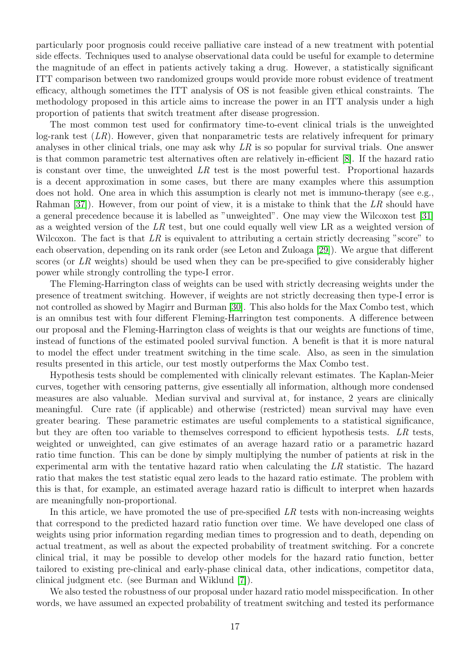particularly poor prognosis could receive palliative care instead of a new treatment with potential side effects. Techniques used to analyse observational data could be useful for example to determine the magnitude of an effect in patients actively taking a drug. However, a statistically significant ITT comparison between two randomized groups would provide more robust evidence of treatment efficacy, although sometimes the ITT analysis of OS is not feasible given ethical constraints. The methodology proposed in this article aims to increase the power in an ITT analysis under a high proportion of patients that switch treatment after disease progression.

The most common test used for confirmatory time-to-event clinical trials is the unweighted  $log-rank$  test  $(LR)$ . However, given that nonparametric tests are relatively infrequent for primary analyses in other clinical trials, one may ask why  $LR$  is so popular for survival trials. One answer is that common parametric test alternatives often are relatively in-efficient [\[8\]](#page-17-7). If the hazard ratio is constant over time, the unweighted  $LR$  test is the most powerful test. Proportional hazards is a decent approximation in some cases, but there are many examples where this assumption does not hold. One area in which this assumption is clearly not met is immuno-therapy (see e.g., Rahman [\[37\]](#page-20-9)). However, from our point of view, it is a mistake to think that the LR should have a general precedence because it is labelled as "unweighted". One may view the Wilcoxon test [\[31\]](#page-19-12) as a weighted version of the  $LR$  test, but one could equally well view LR as a weighted version of Wilcoxon. The fact is that LR is equivalent to attributing a certain strictly decreasing "score" to each observation, depending on its rank order (see Leton and Zuloaga [\[29\]](#page-19-13)). We argue that different scores (or LR weights) should be used when they can be pre-specified to give considerably higher power while strongly controlling the type-I error.

The Fleming-Harrington class of weights can be used with strictly decreasing weights under the presence of treatment switching. However, if weights are not strictly decreasing then type-I error is not controlled as showed by Magirr and Burman [\[30\]](#page-19-9). This also holds for the Max Combo test, which is an omnibus test with four different Fleming-Harrington test components. A difference between our proposal and the Fleming-Harrington class of weights is that our weights are functions of time, instead of functions of the estimated pooled survival function. A benefit is that it is more natural to model the effect under treatment switching in the time scale. Also, as seen in the simulation results presented in this article, our test mostly outperforms the Max Combo test.

Hypothesis tests should be complemented with clinically relevant estimates. The Kaplan-Meier curves, together with censoring patterns, give essentially all information, although more condensed measures are also valuable. Median survival and survival at, for instance, 2 years are clinically meaningful. Cure rate (if applicable) and otherwise (restricted) mean survival may have even greater bearing. These parametric estimates are useful complements to a statistical significance, but they are often too variable to themselves correspond to efficient hypothesis tests. LR tests, weighted or unweighted, can give estimates of an average hazard ratio or a parametric hazard ratio time function. This can be done by simply multiplying the number of patients at risk in the experimental arm with the tentative hazard ratio when calculating the LR statistic. The hazard ratio that makes the test statistic equal zero leads to the hazard ratio estimate. The problem with this is that, for example, an estimated average hazard ratio is difficult to interpret when hazards are meaningfully non-proportional.

In this article, we have promoted the use of pre-specified  $LR$  tests with non-increasing weights that correspond to the predicted hazard ratio function over time. We have developed one class of weights using prior information regarding median times to progression and to death, depending on actual treatment, as well as about the expected probability of treatment switching. For a concrete clinical trial, it may be possible to develop other models for the hazard ratio function, better tailored to existing pre-clinical and early-phase clinical data, other indications, competitor data, clinical judgment etc. (see Burman and Wiklund [\[7\]](#page-17-8)).

We also tested the robustness of our proposal under hazard ratio model misspecification. In other words, we have assumed an expected probability of treatment switching and tested its performance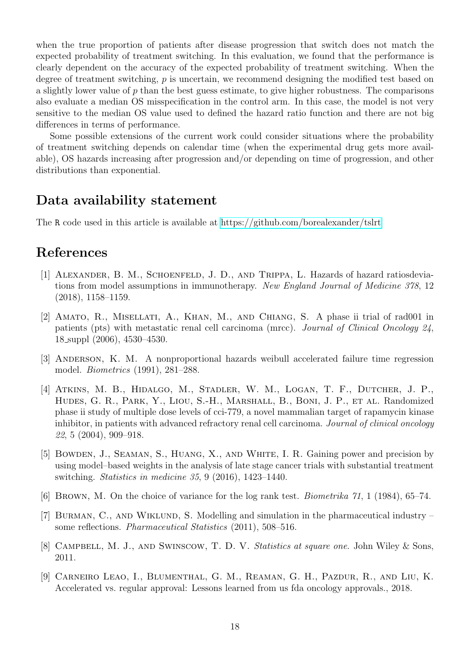when the true proportion of patients after disease progression that switch does not match the expected probability of treatment switching. In this evaluation, we found that the performance is clearly dependent on the accuracy of the expected probability of treatment switching. When the degree of treatment switching, p is uncertain, we recommend designing the modified test based on a slightly lower value of  $p$  than the best guess estimate, to give higher robustness. The comparisons also evaluate a median OS misspecification in the control arm. In this case, the model is not very sensitive to the median OS value used to defined the hazard ratio function and there are not big differences in terms of performance.

Some possible extensions of the current work could consider situations where the probability of treatment switching depends on calendar time (when the experimental drug gets more available), OS hazards increasing after progression and/or depending on time of progression, and other distributions than exponential.

### Data availability statement

The R code used in this article is available at<https://github.com/borealexander/tslrt>

### References

- <span id="page-17-1"></span>[1] ALEXANDER, B. M., SCHOENFELD, J. D., AND TRIPPA, L. Hazards of hazard ratiosdeviations from model assumptions in immunotherapy. New England Journal of Medicine 378, 12 (2018), 1158–1159.
- <span id="page-17-4"></span>[2] Amato, R., Misellati, A., Khan, M., and Chiang, S. A phase ii trial of rad001 in patients (pts) with metastatic renal cell carcinoma (mrcc). Journal of Clinical Oncology 24, 18 suppl (2006), 4530–4530.
- <span id="page-17-2"></span>[3] Anderson, K. M. A nonproportional hazards weibull accelerated failure time regression model. Biometrics (1991), 281–288.
- <span id="page-17-5"></span>[4] Atkins, M. B., Hidalgo, M., Stadler, W. M., Logan, T. F., Dutcher, J. P., Hudes, G. R., Park, Y., Liou, S.-H., Marshall, B., Boni, J. P., et al. Randomized phase ii study of multiple dose levels of cci-779, a novel mammalian target of rapamycin kinase inhibitor, in patients with advanced refractory renal cell carcinoma. Journal of clinical oncology 22, 5 (2004), 909–918.
- <span id="page-17-3"></span>[5] Bowden, J., Seaman, S., Huang, X., and White, I. R. Gaining power and precision by using model–based weights in the analysis of late stage cancer trials with substantial treatment switching. Statistics in medicine 35, 9 (2016), 1423–1440.
- <span id="page-17-6"></span>[6] Brown, M. On the choice of variance for the log rank test. Biometrika 71, 1 (1984), 65–74.
- <span id="page-17-8"></span>[7] BURMAN, C., AND WIKLUND, S. Modelling and simulation in the pharmaceutical industry – some reflections. Pharmaceutical Statistics (2011), 508–516.
- <span id="page-17-7"></span>[8] CAMPBELL, M. J., AND SWINSCOW, T. D. V. Statistics at square one. John Wiley & Sons, 2011.
- <span id="page-17-0"></span>[9] Carneiro Leao, I., Blumenthal, G. M., Reaman, G. H., Pazdur, R., and Liu, K. Accelerated vs. regular approval: Lessons learned from us fda oncology approvals., 2018.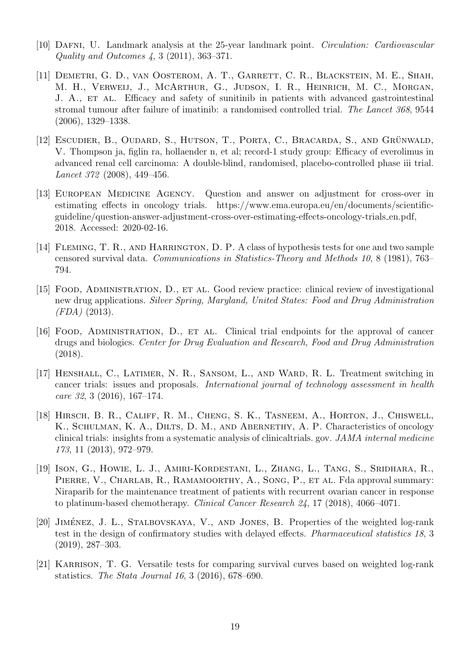- <span id="page-18-7"></span>[10] Dafni, U. Landmark analysis at the 25-year landmark point. Circulation: Cardiovascular Quality and Outcomes 4, 3 (2011), 363–371.
- <span id="page-18-2"></span>[11] DEMETRI, G. D., VAN OOSTEROM, A. T., GARRETT, C. R., BLACKSTEIN, M. E., SHAH, M. H., Verweij, J., McArthur, G., Judson, I. R., Heinrich, M. C., Morgan, J. A., ET AL. Efficacy and safety of sunitinib in patients with advanced gastrointestinal stromal tumour after failure of imatinib: a randomised controlled trial. The Lancet 368, 9544 (2006), 1329–1338.
- <span id="page-18-4"></span>[12] ESCUDIER, B., OUDARD, S., HUTSON, T., PORTA, C., BRACARDA, S., AND GRÜNWALD, V. Thompson ja, figlin ra, hollaender n, et al; record-1 study group: Efficacy of everolimus in advanced renal cell carcinoma: A double-blind, randomised, placebo-controlled phase iii trial. Lancet 372 (2008), 449–456.
- <span id="page-18-5"></span>[13] EUROPEAN MEDICINE AGENCY. Question and answer on adjustment for cross-over in estimating effects in oncology trials. https://www.ema.europa.eu/en/documents/scientificguideline/question-answer-adjustment-cross-over-estimating-effects-oncology-trials en.pdf, 2018. Accessed: 2020-02-16.
- <span id="page-18-8"></span>[14] Fleming, T. R., and Harrington, D. P. A class of hypothesis tests for one and two sample censored survival data. Communications in Statistics-Theory and Methods 10, 8 (1981), 763– 794.
- <span id="page-18-11"></span>[15] Food, Administration, D., et al. Good review practice: clinical review of investigational new drug applications. Silver Spring, Maryland, United States: Food and Drug Administration (FDA) (2013).
- <span id="page-18-1"></span>[16] Food, Administration, D., et al. Clinical trial endpoints for the approval of cancer drugs and biologics. Center for Drug Evaluation and Research, Food and Drug Administration (2018).
- <span id="page-18-6"></span>[17] Henshall, C., Latimer, N. R., Sansom, L., and Ward, R. L. Treatment switching in cancer trials: issues and proposals. International journal of technology assessment in health care 32, 3 (2016), 167–174.
- <span id="page-18-0"></span>[18] Hirsch, B. R., Califf, R. M., Cheng, S. K., Tasneem, A., Horton, J., Chiswell, K., SCHULMAN, K. A., DILTS, D. M., AND ABERNETHY, A. P. Characteristics of oncology clinical trials: insights from a systematic analysis of clinicaltrials. gov. JAMA internal medicine 173, 11 (2013), 972–979.
- <span id="page-18-3"></span>[19] Ison, G., Howie, L. J., Amiri-Kordestani, L., Zhang, L., Tang, S., Sridhara, R., PIERRE, V., CHARLAB, R., RAMAMOORTHY, A., SONG, P., ET AL. Fda approval summary: Niraparib for the maintenance treatment of patients with recurrent ovarian cancer in response to platinum-based chemotherapy. Clinical Cancer Research 24, 17 (2018), 4066–4071.
- <span id="page-18-9"></span>[20] JIMÉNEZ, J. L., STALBOVSKAYA, V., AND JONES, B. Properties of the weighted log-rank test in the design of confirmatory studies with delayed effects. Pharmaceutical statistics 18, 3 (2019), 287–303.
- <span id="page-18-10"></span>[21] KARRISON, T. G. Versatile tests for comparing survival curves based on weighted log-rank statistics. The Stata Journal 16, 3 (2016), 678–690.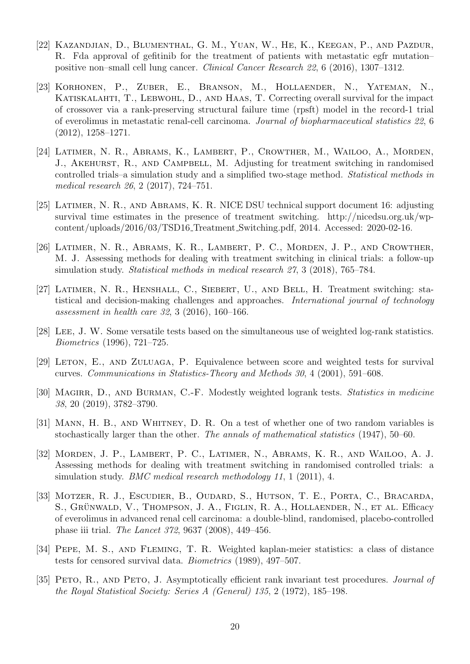- <span id="page-19-1"></span>[22] Kazandjian, D., Blumenthal, G. M., Yuan, W., He, K., Keegan, P., and Pazdur, R. Fda approval of gefitinib for the treatment of patients with metastatic egfr mutation– positive non–small cell lung cancer. Clinical Cancer Research 22, 6 (2016), 1307–1312.
- <span id="page-19-11"></span>[23] Korhonen, P., Zuber, E., Branson, M., Hollaender, N., Yateman, N., KATISKALAHTI, T., LEBWOHL, D., AND HAAS, T. Correcting overall survival for the impact of crossover via a rank-preserving structural failure time (rpsft) model in the record-1 trial of everolimus in metastatic renal-cell carcinoma. Journal of biopharmaceutical statistics 22, 6 (2012), 1258–1271.
- <span id="page-19-4"></span>[24] Latimer, N. R., Abrams, K., Lambert, P., Crowther, M., Wailoo, A., Morden, J., AKEHURST, R., AND CAMPBELL, M. Adjusting for treatment switching in randomised controlled trials–a simulation study and a simplified two-stage method. Statistical methods in medical research 26, 2 (2017), 724–751.
- <span id="page-19-3"></span>[25] Latimer, N. R., and Abrams, K. R. NICE DSU technical support document 16: adjusting survival time estimates in the presence of treatment switching. http://nicedsu.org.uk/wpcontent/uploads/2016/03/TSD16 Treatment Switching.pdf, 2014. Accessed: 2020-02-16.
- <span id="page-19-5"></span>[26] Latimer, N. R., Abrams, K. R., Lambert, P. C., Morden, J. P., and Crowther, M. J. Assessing methods for dealing with treatment switching in clinical trials: a follow-up simulation study. Statistical methods in medical research 27, 3 (2018), 765–784.
- <span id="page-19-2"></span>[27] Latimer, N. R., Henshall, C., Siebert, U., and Bell, H. Treatment switching: statistical and decision-making challenges and approaches. International journal of technology assessment in health care 32, 3 (2016), 160–166.
- <span id="page-19-8"></span>[28] Lee, J. W. Some versatile tests based on the simultaneous use of weighted log-rank statistics. Biometrics (1996), 721–725.
- <span id="page-19-13"></span>[29] LETON, E., AND ZULUAGA, P. Equivalence between score and weighted tests for survival curves. Communications in Statistics-Theory and Methods 30, 4 (2001), 591–608.
- <span id="page-19-9"></span>[30] MAGIRR, D., AND BURMAN, C.-F. Modestly weighted logrank tests. Statistics in medicine 38, 20 (2019), 3782–3790.
- <span id="page-19-12"></span>[31] MANN, H. B., AND WHITNEY, D. R. On a test of whether one of two random variables is stochastically larger than the other. The annals of mathematical statistics (1947), 50–60.
- <span id="page-19-6"></span>[32] Morden, J. P., Lambert, P. C., Latimer, N., Abrams, K. R., and Wailoo, A. J. Assessing methods for dealing with treatment switching in randomised controlled trials: a simulation study. *BMC medical research methodology* 11, 1 (2011), 4.
- <span id="page-19-0"></span>[33] MOTZER, R. J., ESCUDIER, B., OUDARD, S., HUTSON, T. E., PORTA, C., BRACARDA, S., GRÜNWALD, V., THOMPSON, J. A., FIGLIN, R. A., HOLLAENDER, N., ET AL. Efficacy of everolimus in advanced renal cell carcinoma: a double-blind, randomised, placebo-controlled phase iii trial. The Lancet 372, 9637 (2008), 449–456.
- <span id="page-19-7"></span>[34] Pepe, M. S., and Fleming, T. R. Weighted kaplan-meier statistics: a class of distance tests for censored survival data. Biometrics (1989), 497–507.
- <span id="page-19-10"></span>[35] PETO, R., AND PETO, J. Asymptotically efficient rank invariant test procedures. *Journal of* the Royal Statistical Society: Series A (General) 135, 2 (1972), 185–198.